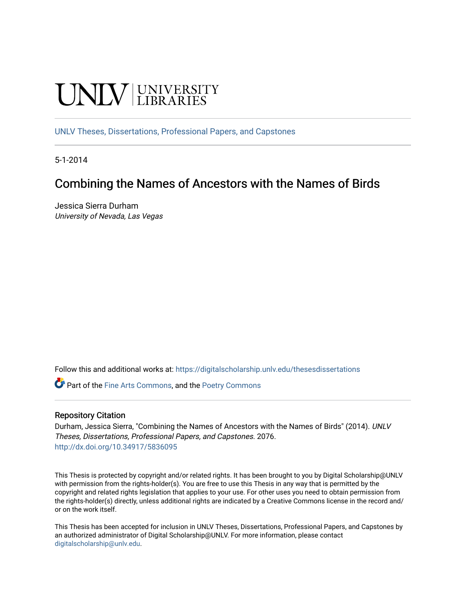# **UNIVERSITY**

[UNLV Theses, Dissertations, Professional Papers, and Capstones](https://digitalscholarship.unlv.edu/thesesdissertations)

5-1-2014

# Combining the Names of Ancestors with the Names of Birds

Jessica Sierra Durham University of Nevada, Las Vegas

Follow this and additional works at: [https://digitalscholarship.unlv.edu/thesesdissertations](https://digitalscholarship.unlv.edu/thesesdissertations?utm_source=digitalscholarship.unlv.edu%2Fthesesdissertations%2F2076&utm_medium=PDF&utm_campaign=PDFCoverPages)

Part of the [Fine Arts Commons,](http://network.bepress.com/hgg/discipline/1141?utm_source=digitalscholarship.unlv.edu%2Fthesesdissertations%2F2076&utm_medium=PDF&utm_campaign=PDFCoverPages) and the [Poetry Commons](http://network.bepress.com/hgg/discipline/1153?utm_source=digitalscholarship.unlv.edu%2Fthesesdissertations%2F2076&utm_medium=PDF&utm_campaign=PDFCoverPages) 

#### Repository Citation

Durham, Jessica Sierra, "Combining the Names of Ancestors with the Names of Birds" (2014). UNLV Theses, Dissertations, Professional Papers, and Capstones. 2076. <http://dx.doi.org/10.34917/5836095>

This Thesis is protected by copyright and/or related rights. It has been brought to you by Digital Scholarship@UNLV with permission from the rights-holder(s). You are free to use this Thesis in any way that is permitted by the copyright and related rights legislation that applies to your use. For other uses you need to obtain permission from the rights-holder(s) directly, unless additional rights are indicated by a Creative Commons license in the record and/ or on the work itself.

This Thesis has been accepted for inclusion in UNLV Theses, Dissertations, Professional Papers, and Capstones by an authorized administrator of Digital Scholarship@UNLV. For more information, please contact [digitalscholarship@unlv.edu](mailto:digitalscholarship@unlv.edu).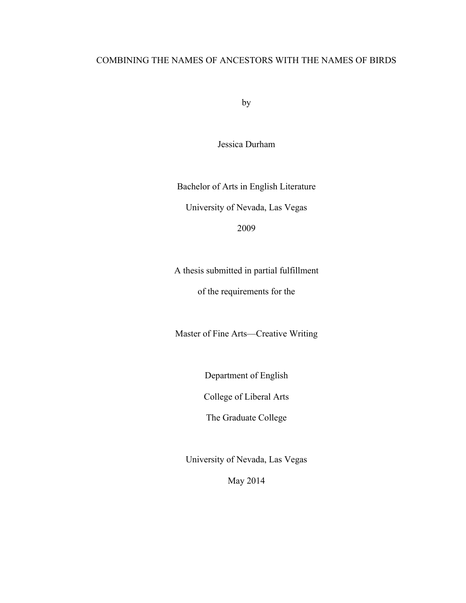# COMBINING THE NAMES OF ANCESTORS WITH THE NAMES OF BIRDS

by

Jessica Durham

Bachelor of Arts in English Literature University of Nevada, Las Vegas

2009

A thesis submitted in partial fulfillment

of the requirements for the

Master of Fine Arts—Creative Writing

Department of English

College of Liberal Arts

The Graduate College

University of Nevada, Las Vegas

May 2014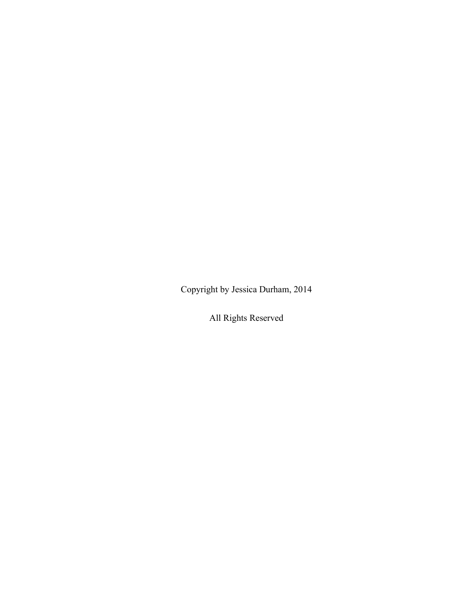Copyright by Jessica Durham, 2014

All Rights Reserved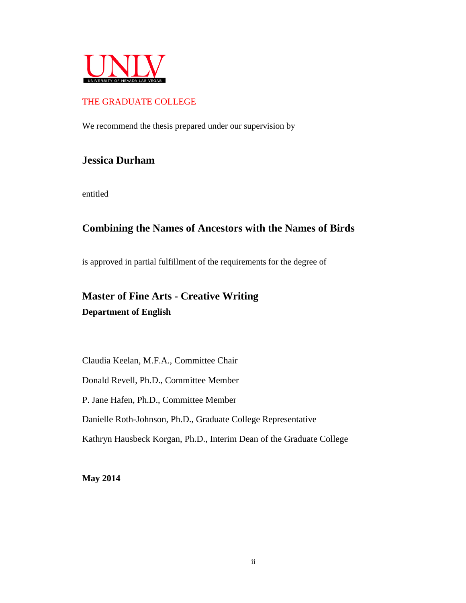

# THE GRADUATE COLLEGE

We recommend the thesis prepared under our supervision by

# **Jessica Durham**

entitled

# **Combining the Names of Ancestors with the Names of Birds**

is approved in partial fulfillment of the requirements for the degree of

# **Master of Fine Arts - Creative Writing Department of English**

Claudia Keelan, M.F.A., Committee Chair

Donald Revell, Ph.D., Committee Member

P. Jane Hafen, Ph.D., Committee Member

Danielle Roth-Johnson, Ph.D., Graduate College Representative

Kathryn Hausbeck Korgan, Ph.D., Interim Dean of the Graduate College

**May 2014**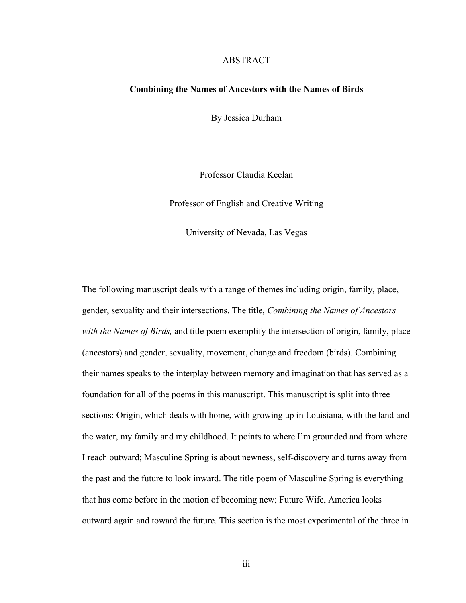#### ABSTRACT

#### **Combining the Names of Ancestors with the Names of Birds**

By Jessica Durham

Professor Claudia Keelan

Professor of English and Creative Writing

University of Nevada, Las Vegas

The following manuscript deals with a range of themes including origin, family, place, gender, sexuality and their intersections. The title, *Combining the Names of Ancestors with the Names of Birds,* and title poem exemplify the intersection of origin, family, place (ancestors) and gender, sexuality, movement, change and freedom (birds). Combining their names speaks to the interplay between memory and imagination that has served as a foundation for all of the poems in this manuscript. This manuscript is split into three sections: Origin, which deals with home, with growing up in Louisiana, with the land and the water, my family and my childhood. It points to where I'm grounded and from where I reach outward; Masculine Spring is about newness, self-discovery and turns away from the past and the future to look inward. The title poem of Masculine Spring is everything that has come before in the motion of becoming new; Future Wife, America looks outward again and toward the future. This section is the most experimental of the three in

iii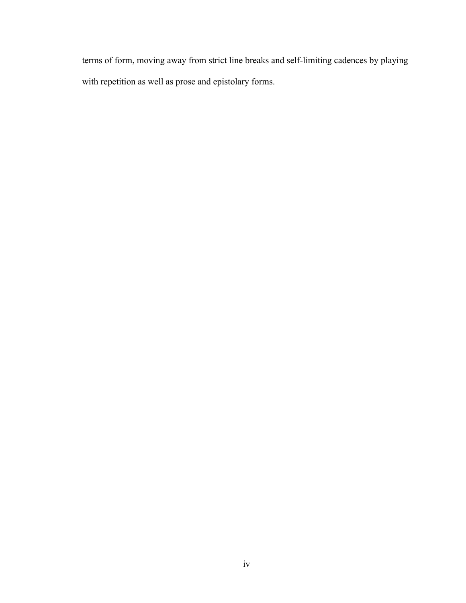terms of form, moving away from strict line breaks and self-limiting cadences by playing with repetition as well as prose and epistolary forms.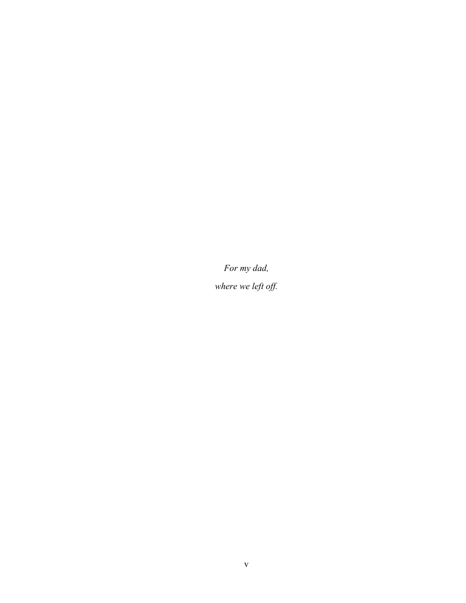*For my dad,*

*where we left off.*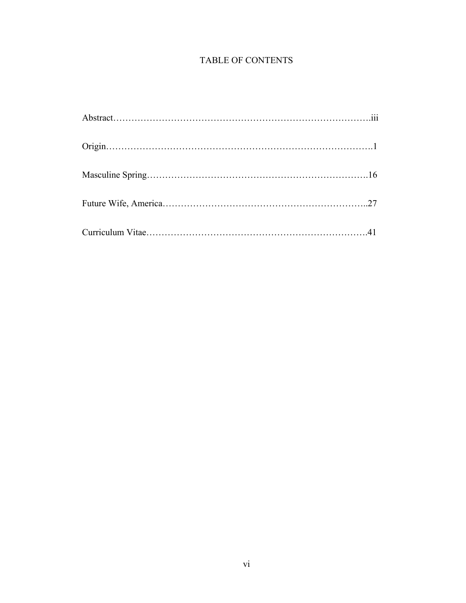# TABLE OF CONTENTS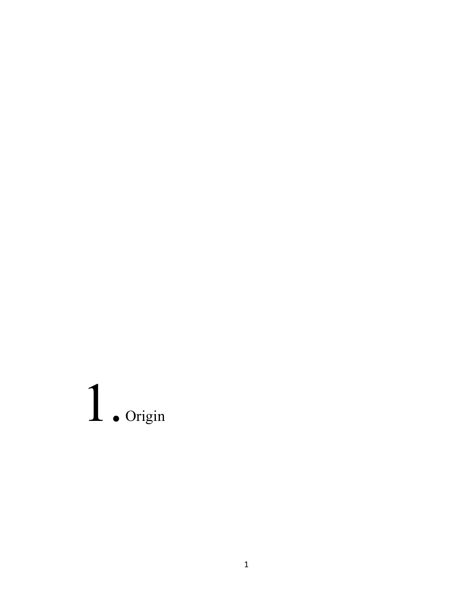# 1. Origin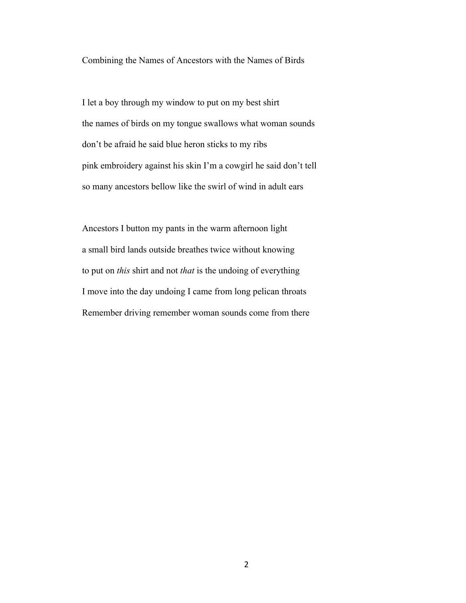Combining the Names of Ancestors with the Names of Birds

I let a boy through my window to put on my best shirt the names of birds on my tongue swallows what woman sounds don't be afraid he said blue heron sticks to my ribs pink embroidery against his skin I'm a cowgirl he said don't tell so many ancestors bellow like the swirl of wind in adult ears

Ancestors I button my pants in the warm afternoon light a small bird lands outside breathes twice without knowing to put on *this* shirt and not *that* is the undoing of everything I move into the day undoing I came from long pelican throats Remember driving remember woman sounds come from there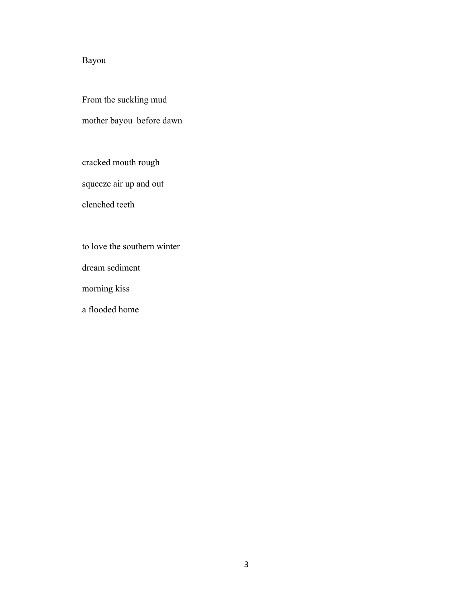# Bayou

From the suckling mud

mother bayou before dawn

cracked mouth rough

squeeze air up and out

clenched teeth

to love the southern winter

dream sediment

morning kiss

a flooded home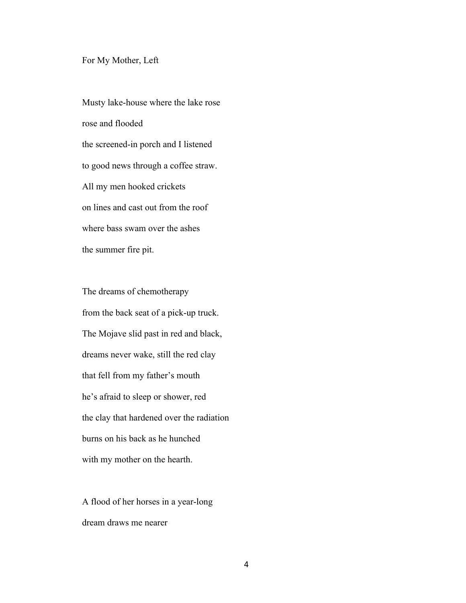#### For My Mother, Left

Musty lake-house where the lake rose rose and flooded the screened-in porch and I listened to good news through a coffee straw. All my men hooked crickets on lines and cast out from the roof where bass swam over the ashes the summer fire pit.

The dreams of chemotherapy from the back seat of a pick-up truck. The Mojave slid past in red and black, dreams never wake, still the red clay that fell from my father's mouth he's afraid to sleep or shower, red the clay that hardened over the radiation burns on his back as he hunched with my mother on the hearth.

A flood of her horses in a year-long dream draws me nearer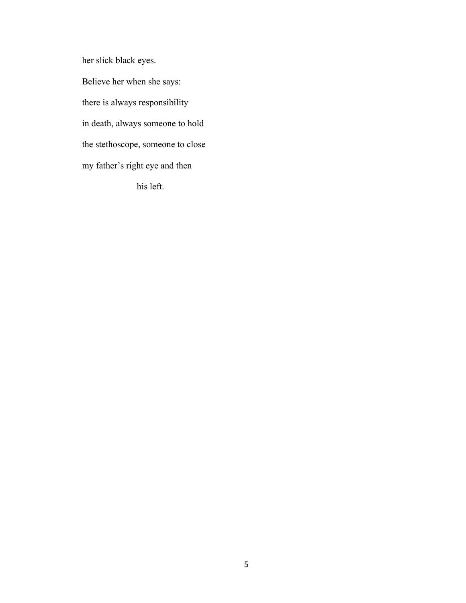her slick black eyes. Believe her when she says: there is always responsibility in death, always someone to hold the stethoscope, someone to close my father's right eye and then his left.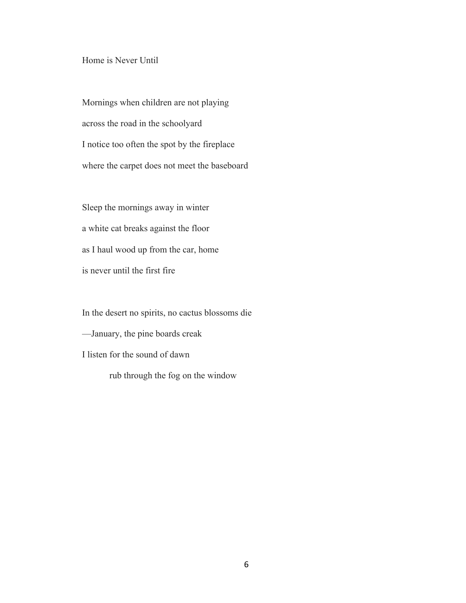### Home is Never Until

Mornings when children are not playing across the road in the schoolyard I notice too often the spot by the fireplace where the carpet does not meet the baseboard

Sleep the mornings away in winter a white cat breaks against the floor as I haul wood up from the car, home is never until the first fire

In the desert no spirits, no cactus blossoms die —January, the pine boards creak I listen for the sound of dawn rub through the fog on the window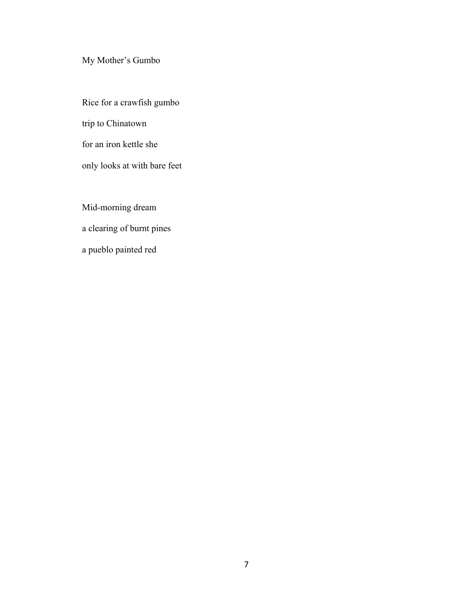My Mother's Gumbo

Rice for a crawfish gumbo trip to Chinatown for an iron kettle she only looks at with bare feet

Mid-morning dream a clearing of burnt pines a pueblo painted red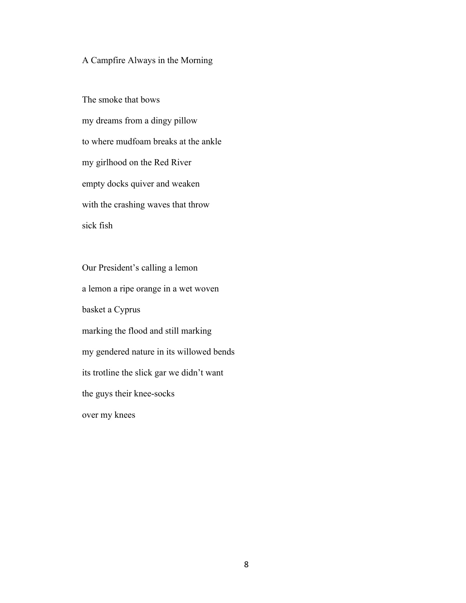# A Campfire Always in the Morning

The smoke that bows my dreams from a dingy pillow to where mudfoam breaks at the ankle my girlhood on the Red River empty docks quiver and weaken with the crashing waves that throw sick fish

Our President's calling a lemon a lemon a ripe orange in a wet woven basket a Cyprus marking the flood and still marking my gendered nature in its willowed bends its trotline the slick gar we didn't want the guys their knee-socks over my knees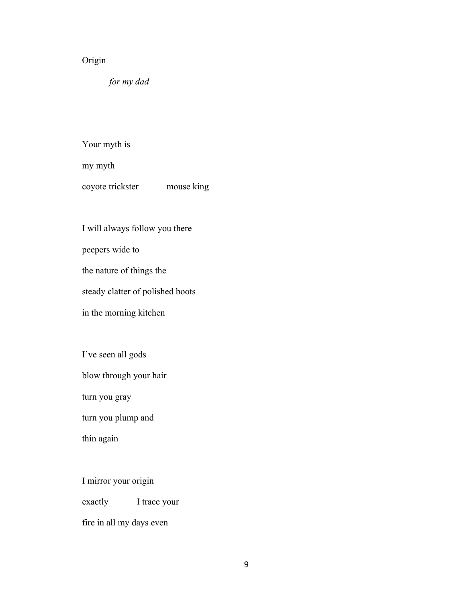# Origin

*for my dad*

Your myth is

my myth

coyote trickster mouse king

I will always follow you there

peepers wide to

the nature of things the

steady clatter of polished boots

in the morning kitchen

I've seen all gods

blow through your hair

turn you gray

turn you plump and

thin again

I mirror your origin

exactly I trace your

fire in all my days even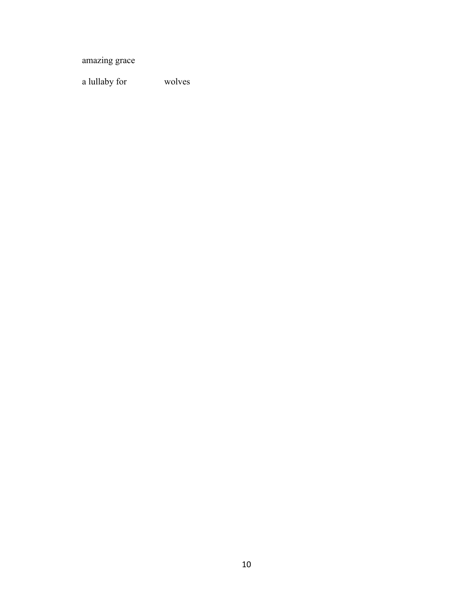amazing grace

a lullaby for wolves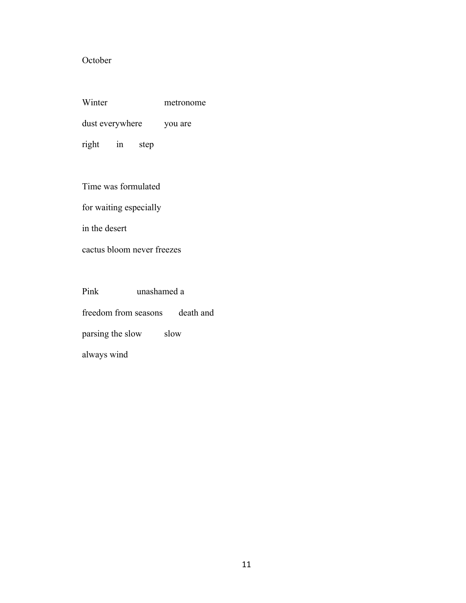# October

| Winter          |    |      | metronome |
|-----------------|----|------|-----------|
| dust everywhere |    |      | you are   |
| right           | 1n | step |           |

Time was formulated

for waiting especially

in the desert

cactus bloom never freezes

Pink unashamed a freedom from seasons death and parsing the slow slow always wind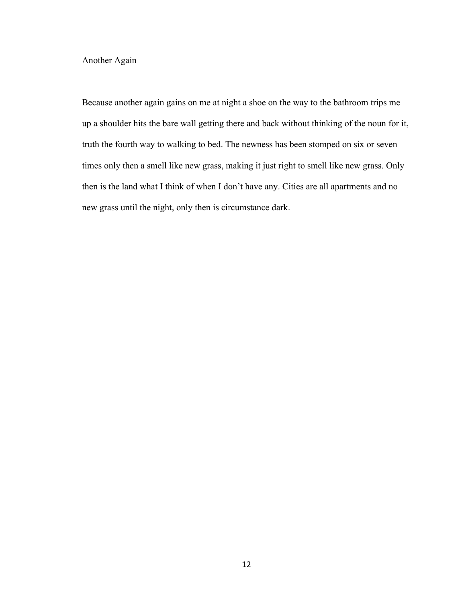Another Again

Because another again gains on me at night a shoe on the way to the bathroom trips me up a shoulder hits the bare wall getting there and back without thinking of the noun for it, truth the fourth way to walking to bed. The newness has been stomped on six or seven times only then a smell like new grass, making it just right to smell like new grass. Only then is the land what I think of when I don't have any. Cities are all apartments and no new grass until the night, only then is circumstance dark.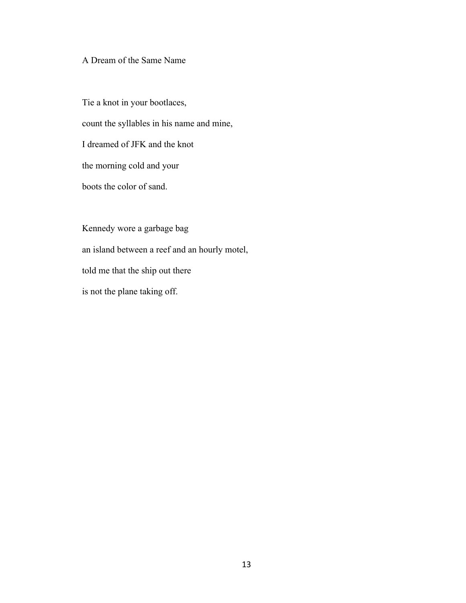# A Dream of the Same Name

Tie a knot in your bootlaces, count the syllables in his name and mine, I dreamed of JFK and the knot the morning cold and your boots the color of sand.

Kennedy wore a garbage bag an island between a reef and an hourly motel, told me that the ship out there is not the plane taking off.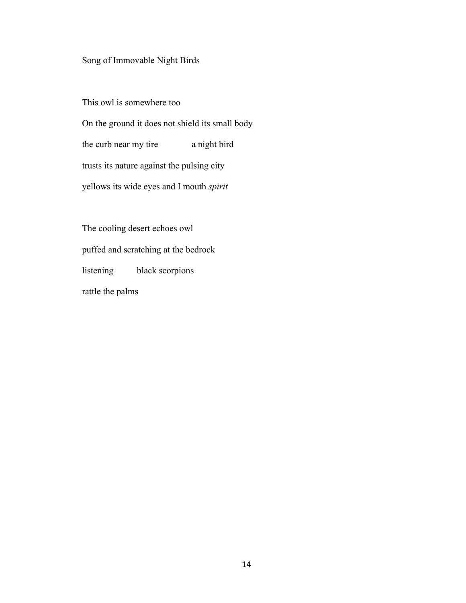# Song of Immovable Night Birds

This owl is somewhere too On the ground it does not shield its small body the curb near my tire a night bird trusts its nature against the pulsing city yellows its wide eyes and I mouth *spirit*

The cooling desert echoes owl puffed and scratching at the bedrock listening black scorpions rattle the palms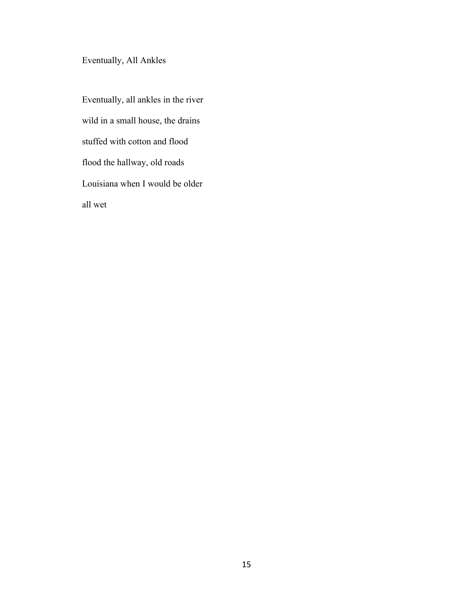Eventually, All Ankles

Eventually, all ankles in the river wild in a small house, the drains stuffed with cotton and flood flood the hallway, old roads Louisiana when I would be older all wet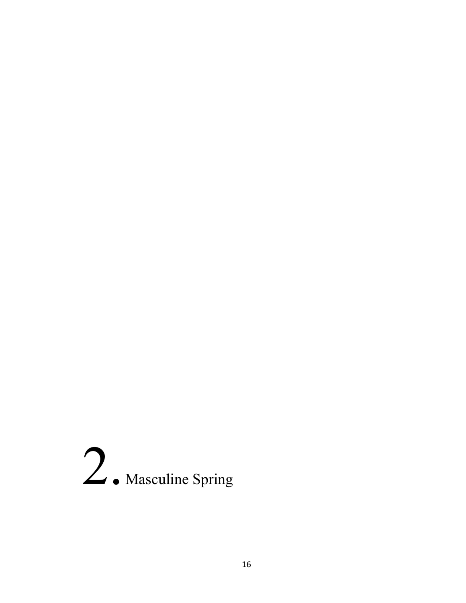# 2. Masculine Spring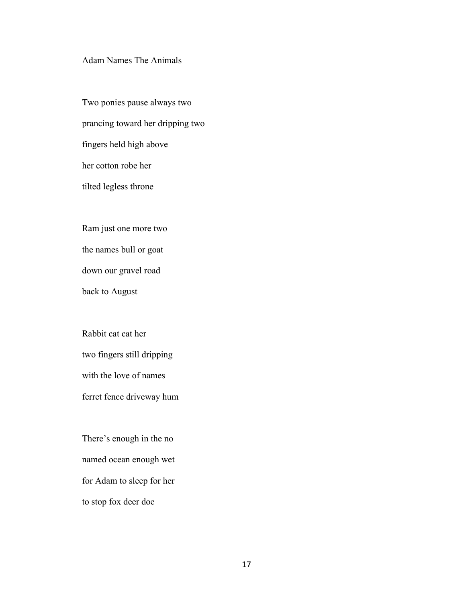## Adam Names The Animals

Two ponies pause always two prancing toward her dripping two fingers held high above her cotton robe her tilted legless throne

Ram just one more two the names bull or goat

down our gravel road

back to August

Rabbit cat cat her two fingers still dripping with the love of names ferret fence driveway hum

There's enough in the no named ocean enough wet for Adam to sleep for her to stop fox deer doe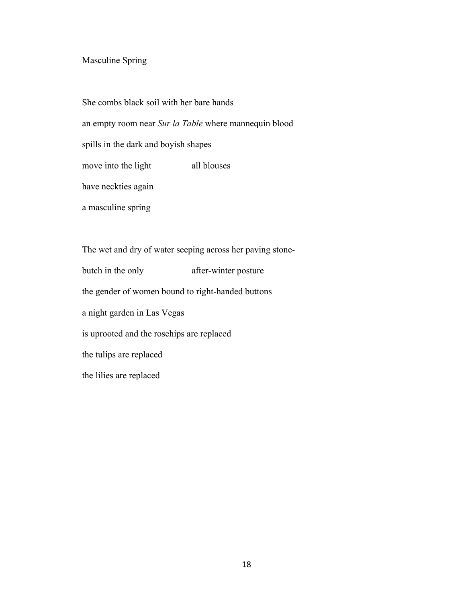# Masculine Spring

She combs black soil with her bare hands

an empty room near *Sur la Table* where mannequin blood

spills in the dark and boyish shapes

move into the light all blouses

have neckties again

a masculine spring

The wet and dry of water seeping across her paving stonebutch in the only after-winter posture the gender of women bound to right-handed buttons a night garden in Las Vegas is uprooted and the rosehips are replaced the tulips are replaced the lilies are replaced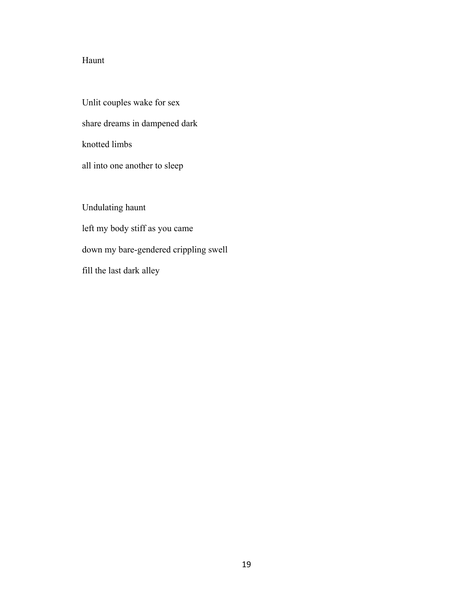# Haunt

Unlit couples wake for sex share dreams in dampened dark knotted limbs all into one another to sleep

Undulating haunt left my body stiff as you came down my bare-gendered crippling swell fill the last dark alley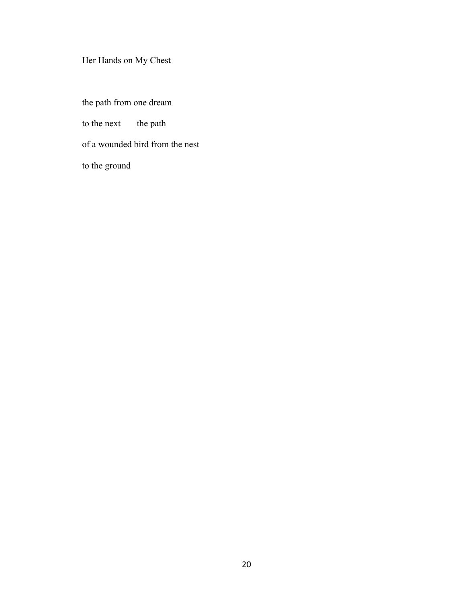# Her Hands on My Chest

the path from one dream to the next the path of a wounded bird from the nest to the ground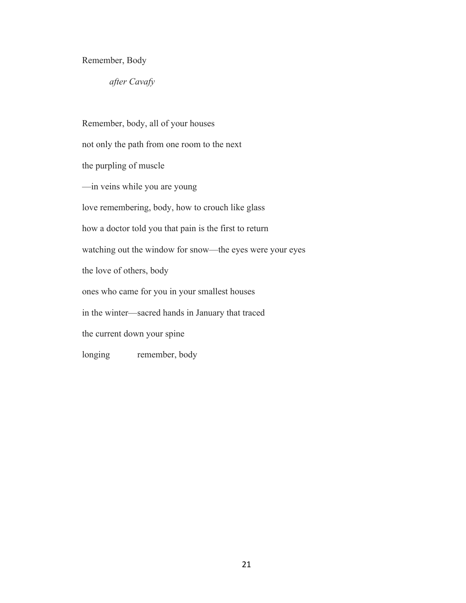## Remember, Body

*after Cavafy*

Remember, body, all of your houses not only the path from one room to the next the purpling of muscle —in veins while you are young love remembering, body, how to crouch like glass how a doctor told you that pain is the first to return watching out the window for snow—the eyes were your eyes the love of others, body ones who came for you in your smallest houses in the winter—sacred hands in January that traced the current down your spine longing remember, body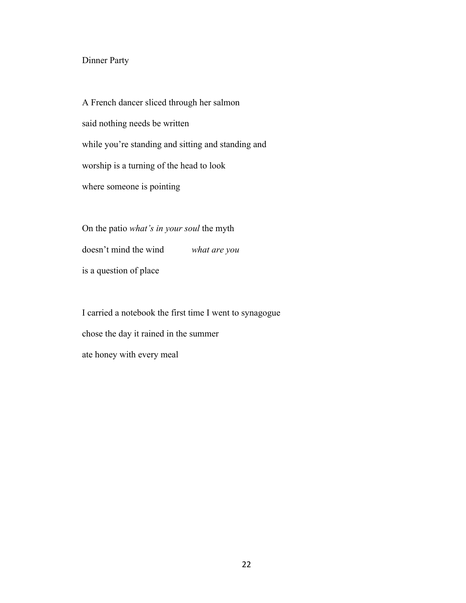# Dinner Party

A French dancer sliced through her salmon said nothing needs be written while you're standing and sitting and standing and worship is a turning of the head to look where someone is pointing

On the patio *what's in your soul* the myth doesn't mind the wind *what are you* is a question of place

I carried a notebook the first time I went to synagogue chose the day it rained in the summer ate honey with every meal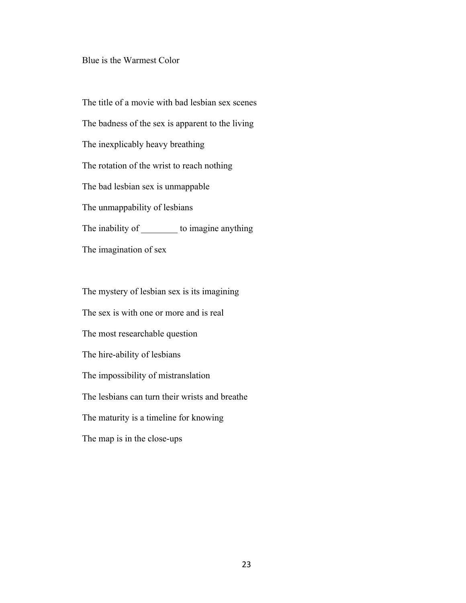#### Blue is the Warmest Color

The title of a movie with bad lesbian sex scenes The badness of the sex is apparent to the living The inexplicably heavy breathing The rotation of the wrist to reach nothing The bad lesbian sex is unmappable The unmappability of lesbians The inability of \_\_\_\_\_\_\_\_\_ to imagine anything The imagination of sex

The mystery of lesbian sex is its imagining The sex is with one or more and is real The most researchable question The hire-ability of lesbians The impossibility of mistranslation The lesbians can turn their wrists and breathe The maturity is a timeline for knowing The map is in the close-ups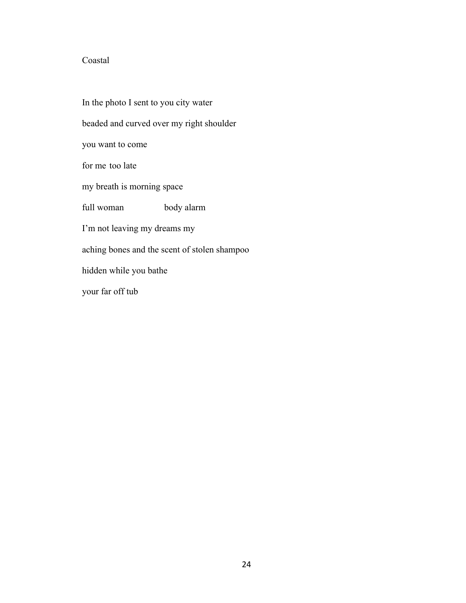# Coastal

In the photo I sent to you city water beaded and curved over my right shoulder you want to come for me too late my breath is morning space full woman body alarm I'm not leaving my dreams my aching bones and the scent of stolen shampoo hidden while you bathe your far off tub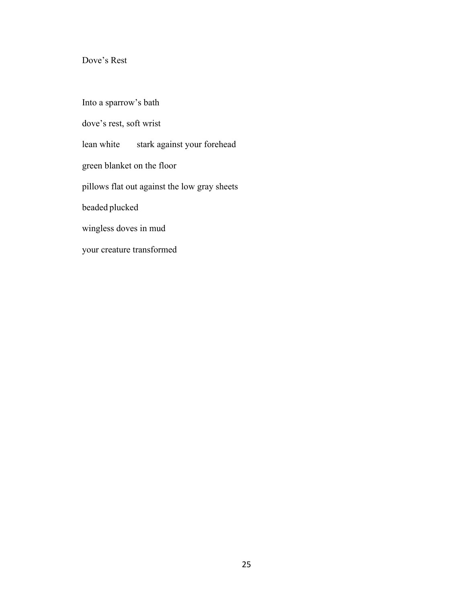# Dove's Rest

Into a sparrow's bath dove's rest, soft wrist lean white stark against your forehead green blanket on the floor pillows flat out against the low gray sheets beaded plucked wingless doves in mud your creature transformed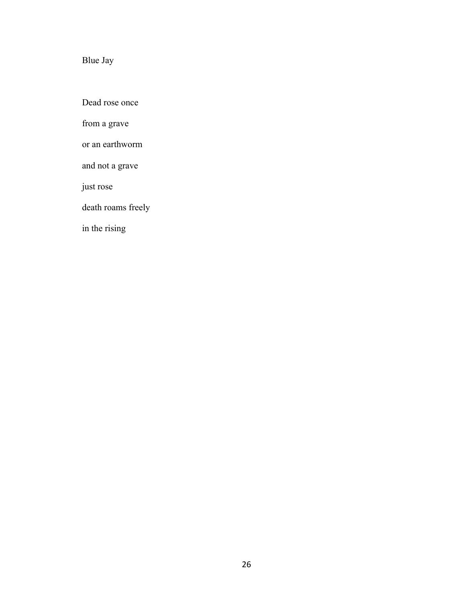# Blue Jay

Dead rose once

from a grave

or an earthworm

and not a grave

just rose

death roams freely

in the rising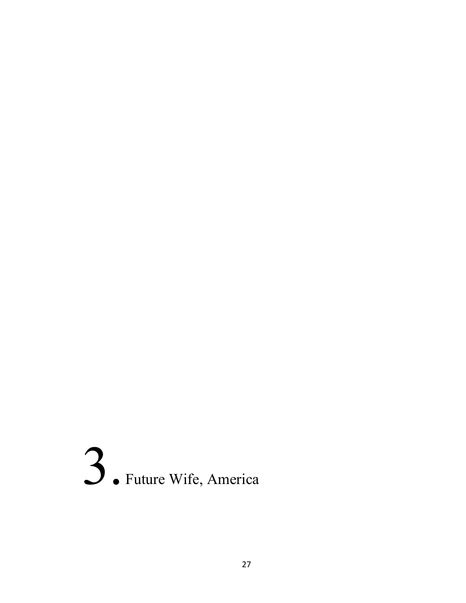# 3. Future Wife, America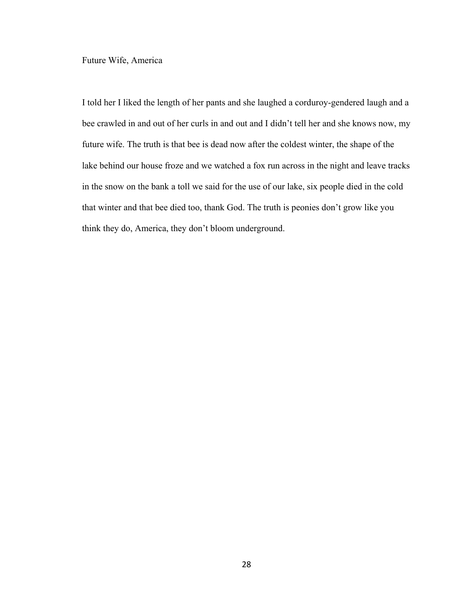Future Wife, America

I told her I liked the length of her pants and she laughed a corduroy-gendered laugh and a bee crawled in and out of her curls in and out and I didn't tell her and she knows now, my future wife. The truth is that bee is dead now after the coldest winter, the shape of the lake behind our house froze and we watched a fox run across in the night and leave tracks in the snow on the bank a toll we said for the use of our lake, six people died in the cold that winter and that bee died too, thank God. The truth is peonies don't grow like you think they do, America, they don't bloom underground.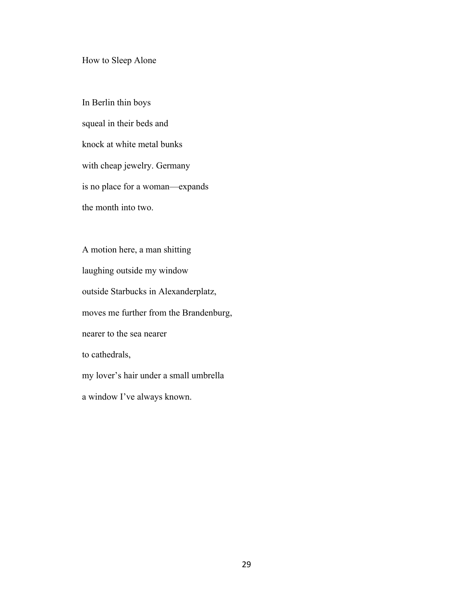How to Sleep Alone

In Berlin thin boys squeal in their beds and knock at white metal bunks with cheap jewelry. Germany is no place for a woman—expands the month into two.

A motion here, a man shitting laughing outside my window outside Starbucks in Alexanderplatz, moves me further from the Brandenburg, nearer to the sea nearer to cathedrals, my lover's hair under a small umbrella a window I've always known.

29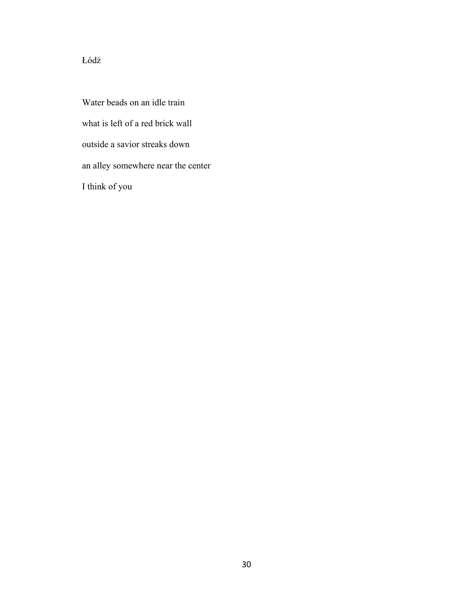# Łódź

Water beads on an idle train what is left of a red brick wall outside a savior streaks down an alley somewhere near the center I think of you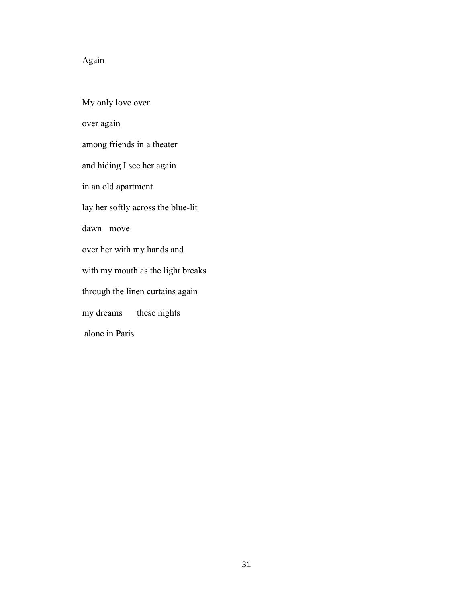# Again

My only love over over again among friends in a theater and hiding I see her again in an old apartment lay her softly across the blue-lit dawn move over her with my hands and with my mouth as the light breaks through the linen curtains again my dreams these nights alone in Paris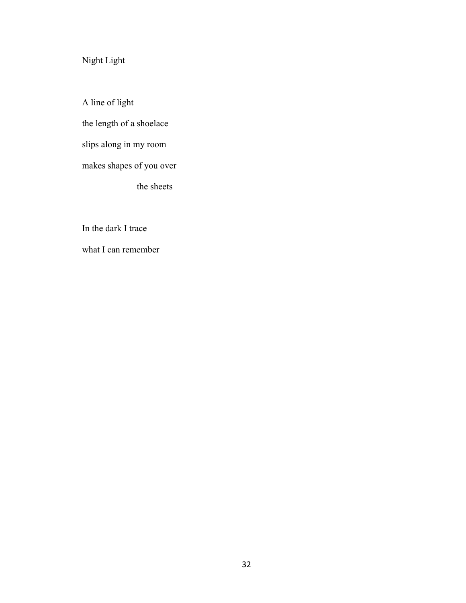Night Light

A line of light the length of a shoelace slips along in my room makes shapes of you over the sheets

In the dark I trace

what I can remember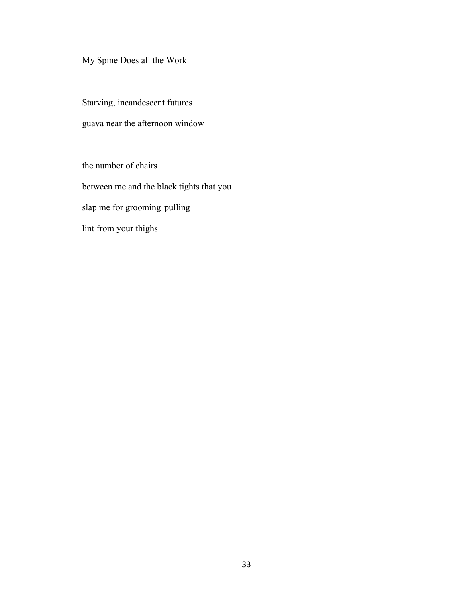# My Spine Does all the Work

Starving, incandescent futures guava near the afternoon window

the number of chairs between me and the black tights that you slap me for grooming pulling lint from your thighs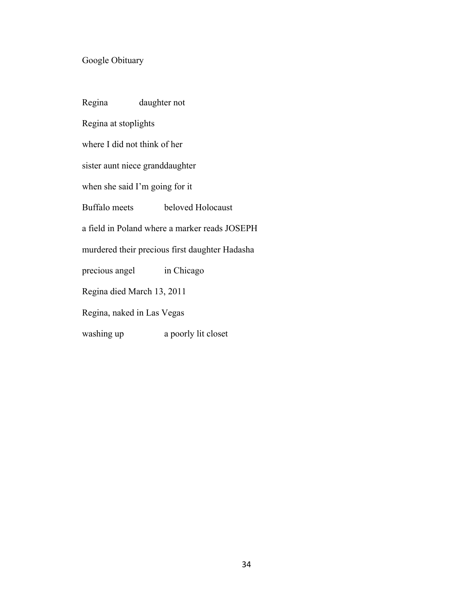# Google Obituary

| Regina daughter not          |                                                |
|------------------------------|------------------------------------------------|
| Regina at stoplights         |                                                |
| where I did not think of her |                                                |
|                              | sister aunt niece granddaughter                |
|                              | when she said I'm going for it                 |
| Buffalo meets                | beloved Holocaust                              |
|                              | a field in Poland where a marker reads JOSEPH  |
|                              | murdered their precious first daughter Hadasha |
|                              | precious angel in Chicago                      |
| Regina died March 13, 2011   |                                                |
| Regina, naked in Las Vegas   |                                                |
| washing up                   | a poorly lit closet                            |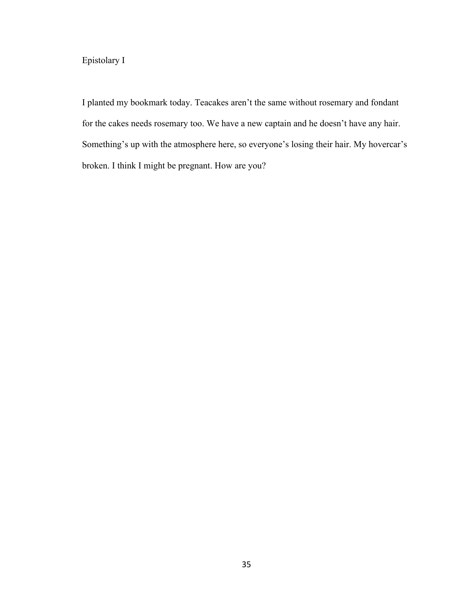# Epistolary I

I planted my bookmark today. Teacakes aren't the same without rosemary and fondant for the cakes needs rosemary too. We have a new captain and he doesn't have any hair. Something's up with the atmosphere here, so everyone's losing their hair. My hovercar's broken. I think I might be pregnant. How are you?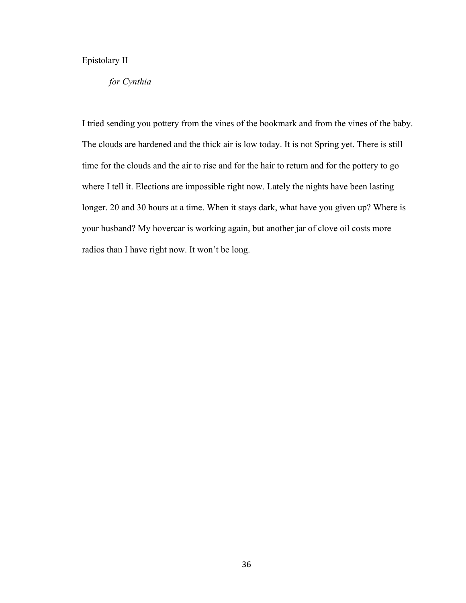# Epistolary II

#### *for Cynthia*

I tried sending you pottery from the vines of the bookmark and from the vines of the baby. The clouds are hardened and the thick air is low today. It is not Spring yet. There is still time for the clouds and the air to rise and for the hair to return and for the pottery to go where I tell it. Elections are impossible right now. Lately the nights have been lasting longer. 20 and 30 hours at a time. When it stays dark, what have you given up? Where is your husband? My hovercar is working again, but another jar of clove oil costs more radios than I have right now. It won't be long.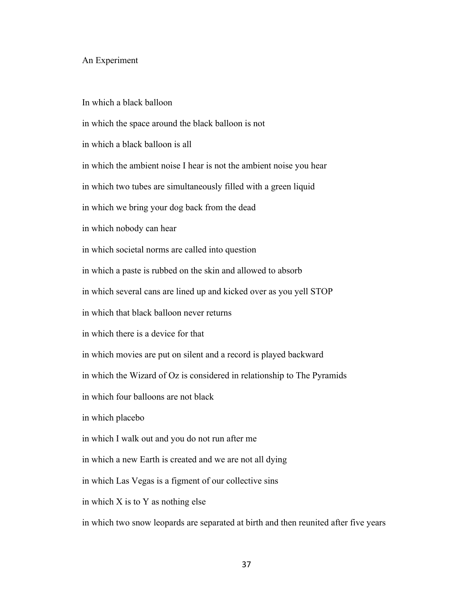#### An Experiment

In which a black balloon

in which the space around the black balloon is not

in which a black balloon is all

in which the ambient noise I hear is not the ambient noise you hear

in which two tubes are simultaneously filled with a green liquid

in which we bring your dog back from the dead

in which nobody can hear

in which societal norms are called into question

in which a paste is rubbed on the skin and allowed to absorb

in which several cans are lined up and kicked over as you yell STOP

in which that black balloon never returns

in which there is a device for that

in which movies are put on silent and a record is played backward

in which the Wizard of Oz is considered in relationship to The Pyramids

in which four balloons are not black

in which placebo

in which I walk out and you do not run after me

in which a new Earth is created and we are not all dying

in which Las Vegas is a figment of our collective sins

in which X is to Y as nothing else

in which two snow leopards are separated at birth and then reunited after five years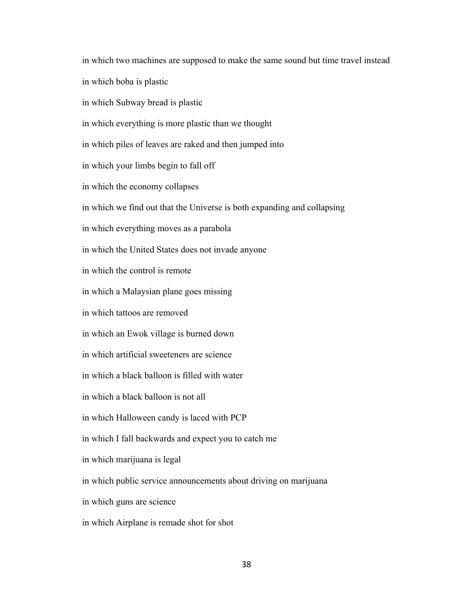in which two machines are supposed to make the same sound but time travel instead in which boba is plastic in which Subway bread is plastic in which everything is more plastic than we thought in which piles of leaves are raked and then jumped into in which your limbs begin to fall off in which the economy collapses in which we find out that the Universe is both expanding and collapsing in which everything moves as a parabola in which the United States does not invade anyone in which the control is remote in which a Malaysian plane goes missing in which tattoos are removed in which an Ewok village is burned down in which artificial sweeteners are science in which a black balloon is filled with water in which a black balloon is not all in which Halloween candy is laced with PCP in which I fall backwards and expect you to catch me in which marijuana is legal in which public service announcements about driving on marijuana in which guns are science in which Airplane is remade shot for shot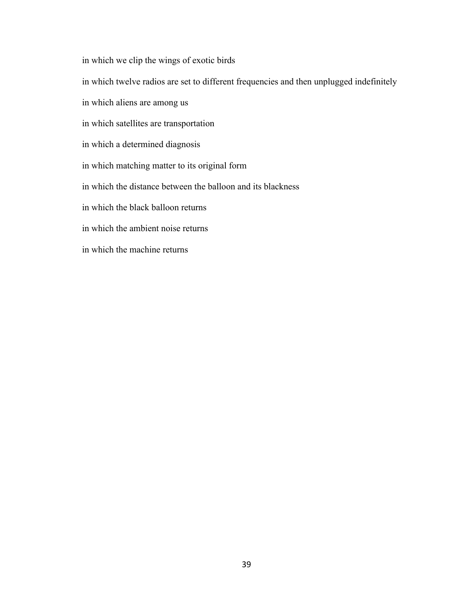in which we clip the wings of exotic birds

in which twelve radios are set to different frequencies and then unplugged indefinitely

in which aliens are among us

in which satellites are transportation

in which a determined diagnosis

in which matching matter to its original form

in which the distance between the balloon and its blackness

in which the black balloon returns

in which the ambient noise returns

in which the machine returns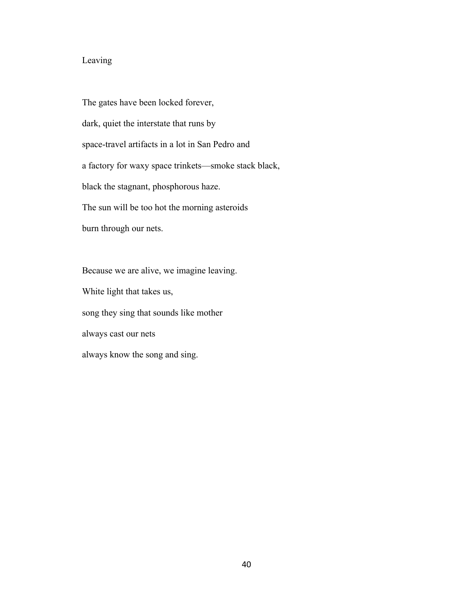# Leaving

The gates have been locked forever, dark, quiet the interstate that runs by space-travel artifacts in a lot in San Pedro and a factory for waxy space trinkets—smoke stack black, black the stagnant, phosphorous haze. The sun will be too hot the morning asteroids burn through our nets.

Because we are alive, we imagine leaving. White light that takes us, song they sing that sounds like mother always cast our nets always know the song and sing.